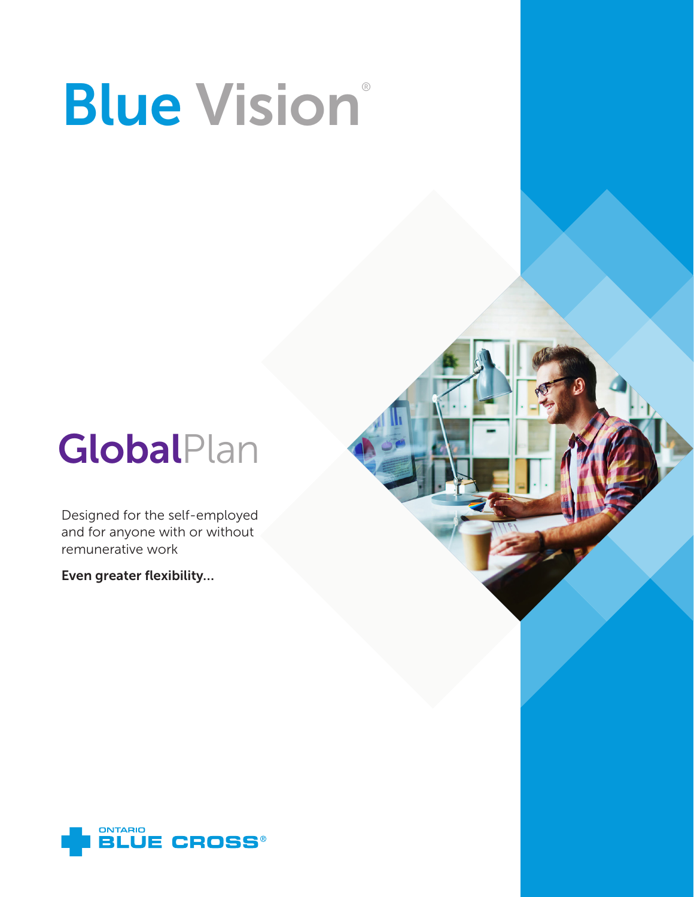# **Blue Vision®**

## **GlobalPlan**

Designed for the self-employed and for anyone with or without remunerative work

Even greater flexibility…

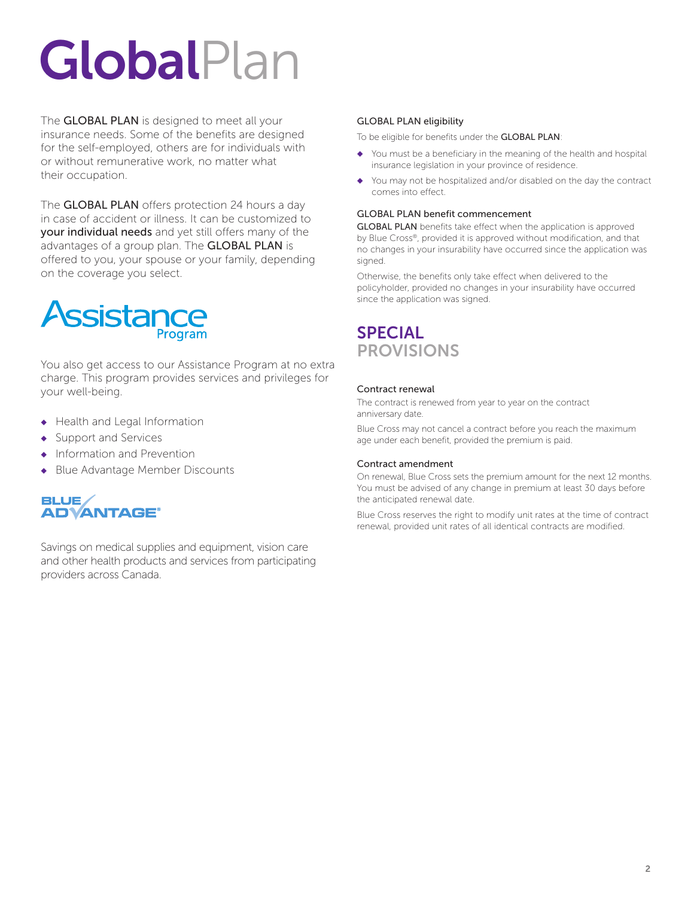## **GlobalPlan**

The **GLOBAL PLAN** is designed to meet all your insurance needs. Some of the benefits are designed for the self-employed, others are for individuals with or without remunerative work, no matter what their occupation.

The **GLOBAL PLAN** offers protection 24 hours a day in case of accident or illness. It can be customized to your individual needs and yet still offers many of the advantages of a group plan. The GLOBAL PLAN is offered to you, your spouse or your family, depending on the coverage you select.



You also get access to our Assistance Program at no extra charge. This program provides services and privileges for your well-being.

- ◆ Health and Legal Information
- ◆ Support and Services
- Information and Prevention
- ◆ Blue Advantage Member Discounts

#### **BLUE/ ADVANTAGE®**

Savings on medical supplies and equipment, vision care and other health products and services from participating providers across Canada.

#### GLOBAL PLAN eligibility

To be eligible for benefits under the GLOBAL PLAN

- ◆ You must be a beneficiary in the meaning of the health and hospital insurance legislation in your province of residence.
- ◆ You may not be hospitalized and/or disabled on the day the contract comes into effect.

#### GLOBAL PLAN benefit commencement

GLOBAL PLAN benefits take effect when the application is approved by Blue Cross®, provided it is approved without modification, and that no changes in your insurability have occurred since the application was signed

Otherwise, the benefits only take effect when delivered to the policyholder, provided no changes in your insurability have occurred since the application was signed.

## SPECIAL **PROVISIONS**

#### Contract renewal

The contract is renewed from year to year on the contract anniversary date.

Blue Cross may not cancel a contract before you reach the maximum age under each benefit, provided the premium is paid.

#### Contract amendment

On renewal, Blue Cross sets the premium amount for the next 12 months. You must be advised of any change in premium at least 30 days before the anticipated renewal date.

Blue Cross reserves the right to modify unit rates at the time of contract renewal, provided unit rates of all identical contracts are modified.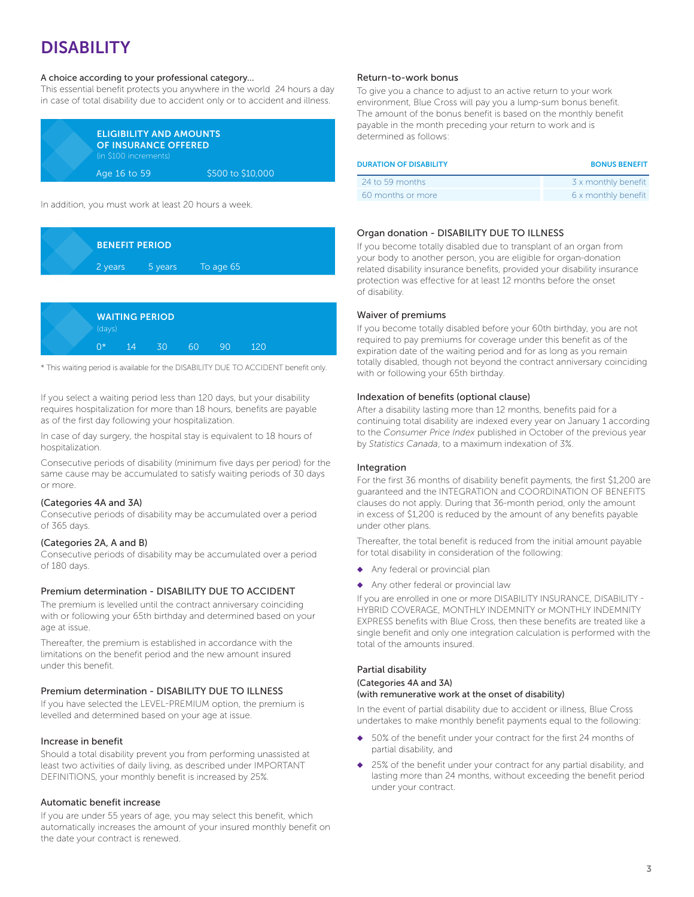## DISABILITY

#### A choice according to your professional category…

This essential benefit protects you anywhere in the world 24 hours a day in case of total disability due to accident only or to accident and illness.

| <b>ELIGIBILITY AND AMOUNTS</b><br><b>OF INSURANCE OFFERED</b><br>(in \$100 increments) |                   |  |
|----------------------------------------------------------------------------------------|-------------------|--|
| Age 16 to 59                                                                           | \$500 to \$10,000 |  |

In addition, you must work at least 20 hours a week.



|  | (days)      |    | <b>WAITING PERIOD</b> |    |    |     |  |
|--|-------------|----|-----------------------|----|----|-----|--|
|  | $\bigcap$ * | 14 | 30                    | 60 | 90 | 120 |  |

\* This waiting period is available for the DISABILITY DUE TO ACCIDENT benefit only.

If you select a waiting period less than 120 days, but your disability requires hospitalization for more than 18 hours, benefits are payable as of the first day following your hospitalization.

In case of day surgery, the hospital stay is equivalent to 18 hours of hospitalization.

Consecutive periods of disability (minimum five days per period) for the same cause may be accumulated to satisfy waiting periods of 30 days or more.

#### (Categories 4A and 3A)

Consecutive periods of disability may be accumulated over a period of 365 days.

#### (Categories 2A, A and B)

Consecutive periods of disability may be accumulated over a period of 180 days.

#### Premium determination - DISABILITY DUE TO ACCIDENT

The premium is levelled until the contract anniversary coinciding with or following your 65th birthday and determined based on your age at issue.

Thereafter, the premium is established in accordance with the limitations on the benefit period and the new amount insured under this benefit.

#### Premium determination - DISABILITY DUE TO ILLNESS

If you have selected the LEVEL-PREMIUM option, the premium is levelled and determined based on your age at issue.

#### Increase in benefit

Should a total disability prevent you from performing unassisted at least two activities of daily living, as described under IMPORTANT DEFINITIONS, your monthly benefit is increased by 25%.

#### Automatic benefit increase

If you are under 55 years of age, you may select this benefit, which automatically increases the amount of your insured monthly benefit on the date your contract is renewed.

#### Return-to-work bonus

To give you a chance to adjust to an active return to your work environment, Blue Cross will pay you a lump-sum bonus benefit. The amount of the bonus benefit is based on the monthly benefit payable in the month preceding your return to work and is determined as follows:

| <b>DURATION OF DISABILITY</b> | <b>BONUS BENEFIT</b> |
|-------------------------------|----------------------|
| 24 to 59 months               | 3 x monthly benefit  |
| 60 months or more             | 6 x monthly benefit  |

#### Organ donation - DISABILITY DUE TO ILLNESS

If you become totally disabled due to transplant of an organ from your body to another person, you are eligible for organ-donation related disability insurance benefits, provided your disability insurance protection was effective for at least 12 months before the onset of disability.

#### Waiver of premiums

If you become totally disabled before your 60th birthday, you are not required to pay premiums for coverage under this benefit as of the expiration date of the waiting period and for as long as you remain totally disabled, though not beyond the contract anniversary coinciding with or following your 65th birthday.

#### Indexation of benefits (optional clause)

After a disability lasting more than 12 months, benefits paid for a continuing total disability are indexed every year on January 1 according to the *Consumer Price Index* published in October of the previous year by *Statistics Canada*, to a maximum indexation of 3%.

#### Integration

For the first 36 months of disability benefit payments, the first \$1,200 are guaranteed and the INTEGRATION and COORDINATION OF BENEFITS clauses do not apply. During that 36-month period, only the amount in excess of \$1,200 is reduced by the amount of any benefits payable under other plans.

Thereafter, the total benefit is reduced from the initial amount payable for total disability in consideration of the following:

- ◆ Any federal or provincial plan
- ◆ Any other federal or provincial law

If you are enrolled in one or more DISABILITY INSURANCE, DISABILITY - HYBRID COVERAGE, MONTHLY INDEMNITY or MONTHLY INDEMNITY EXPRESS benefits with Blue Cross, then these benefits are treated like a single benefit and only one integration calculation is performed with the total of the amounts insured.

#### Partial disability (Categories 4A and 3A)

#### (with remunerative work at the onset of disability)

In the event of partial disability due to accident or illness, Blue Cross undertakes to make monthly benefit payments equal to the following:

- 50% of the benefit under your contract for the first 24 months of partial disability, and
- 25% of the benefit under your contract for any partial disability, and lasting more than 24 months, without exceeding the benefit period under your contract.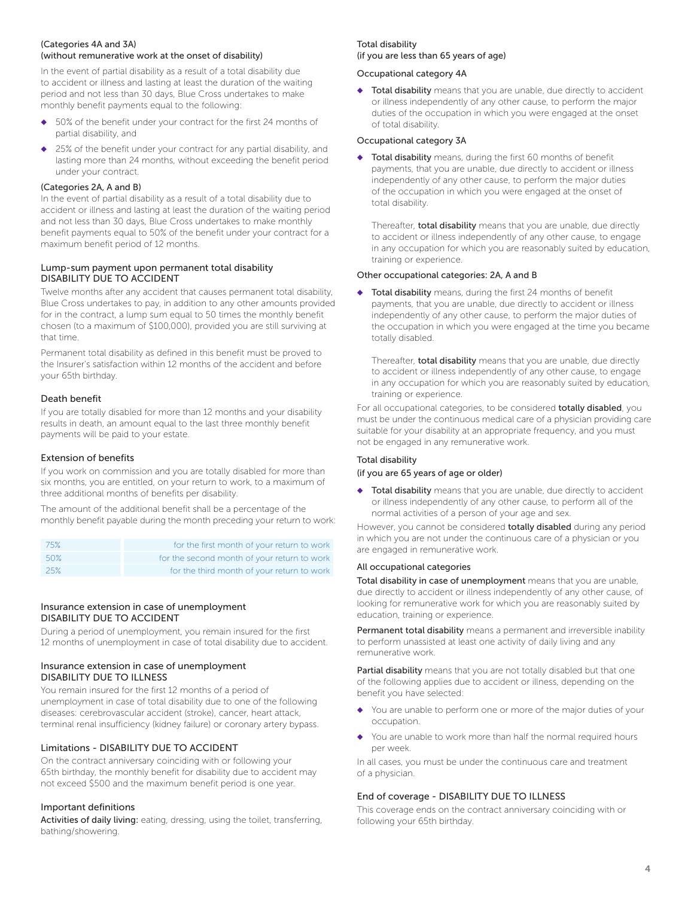#### (Categories 4A and 3A) (without remunerative work at the onset of disability)

In the event of partial disability as a result of a total disability due to accident or illness and lasting at least the duration of the waiting period and not less than 30 days, Blue Cross undertakes to make monthly benefit payments equal to the following:

- 50% of the benefit under your contract for the first 24 months of partial disability, and
- 25% of the benefit under your contract for any partial disability, and lasting more than 24 months, without exceeding the benefit period under your contract.

#### (Categories 2A, A and B)

In the event of partial disability as a result of a total disability due to accident or illness and lasting at least the duration of the waiting period and not less than 30 days, Blue Cross undertakes to make monthly benefit payments equal to 50% of the benefit under your contract for a maximum benefit period of 12 months.

#### Lump-sum payment upon permanent total disability DISABILITY DUE TO ACCIDENT

Twelve months after any accident that causes permanent total disability, Blue Cross undertakes to pay, in addition to any other amounts provided for in the contract, a lump sum equal to 50 times the monthly benefit chosen (to a maximum of \$100,000), provided you are still surviving at that time.

Permanent total disability as defined in this benefit must be proved to the Insurer's satisfaction within 12 months of the accident and before your 65th birthday.

#### Death benefit

If you are totally disabled for more than 12 months and your disability results in death, an amount equal to the last three monthly benefit payments will be paid to your estate.

#### Extension of benefits

If you work on commission and you are totally disabled for more than six months, you are entitled, on your return to work, to a maximum of three additional months of benefits per disability.

The amount of the additional benefit shall be a percentage of the monthly benefit payable during the month preceding your return to work:

| 75% | for the first month of your return to work  |
|-----|---------------------------------------------|
| 50% | for the second month of your return to work |
| 25% | for the third month of your return to work  |

#### Insurance extension in case of unemployment DISABILITY DUE TO ACCIDENT

During a period of unemployment, you remain insured for the first 12 months of unemployment in case of total disability due to accident.

#### Insurance extension in case of unemployment DISABILITY DUE TO ILLNESS

You remain insured for the first 12 months of a period of unemployment in case of total disability due to one of the following diseases: cerebrovascular accident (stroke), cancer, heart attack, terminal renal insufficiency (kidney failure) or coronary artery bypass.

#### Limitations - DISABILITY DUE TO ACCIDENT

On the contract anniversary coinciding with or following your 65th birthday, the monthly benefit for disability due to accident may not exceed \$500 and the maximum benefit period is one year.

#### Important definitions

Activities of daily living: eating, dressing, using the toilet, transferring, bathing/showering.

#### Total disability

#### (if you are less than 65 years of age)

#### Occupational category 4A

◆ Total disability means that you are unable, due directly to accident or illness independently of any other cause, to perform the major duties of the occupation in which you were engaged at the onset of total disability.

#### Occupational category 3A

◆ Total disability means, during the first 60 months of benefit payments, that you are unable, due directly to accident or illness independently of any other cause, to perform the major duties of the occupation in which you were engaged at the onset of total disability.

Thereafter, total disability means that you are unable, due directly to accident or illness independently of any other cause, to engage in any occupation for which you are reasonably suited by education, training or experience.

#### Other occupational categories: 2A, A and B

◆ Total disability means, during the first 24 months of benefit payments, that you are unable, due directly to accident or illness independently of any other cause, to perform the major duties of the occupation in which you were engaged at the time you became totally disabled.

Thereafter, total disability means that you are unable, due directly to accident or illness independently of any other cause, to engage in any occupation for which you are reasonably suited by education, training or experience.

For all occupational categories, to be considered totally disabled, you must be under the continuous medical care of a physician providing care suitable for your disability at an appropriate frequency, and you must not be engaged in any remunerative work.

#### Total disability

#### (if you are 65 years of age or older)

Total disability means that you are unable, due directly to accident or illness independently of any other cause, to perform all of the normal activities of a person of your age and sex.

However, you cannot be considered **totally disabled** during any period in which you are not under the continuous care of a physician or you are engaged in remunerative work.

#### All occupational categories

Total disability in case of unemployment means that you are unable, due directly to accident or illness independently of any other cause, of looking for remunerative work for which you are reasonably suited by education, training or experience.

Permanent total disability means a permanent and irreversible inability to perform unassisted at least one activity of daily living and any remunerative work.

Partial disability means that you are not totally disabled but that one of the following applies due to accident or illness, depending on the benefit you have selected:

- You are unable to perform one or more of the major duties of your occupation.
- You are unable to work more than half the normal required hours per week.

In all cases, you must be under the continuous care and treatment of a physician.

#### End of coverage - DISABILITY DUE TO ILLNESS

This coverage ends on the contract anniversary coinciding with or following your 65th birthday.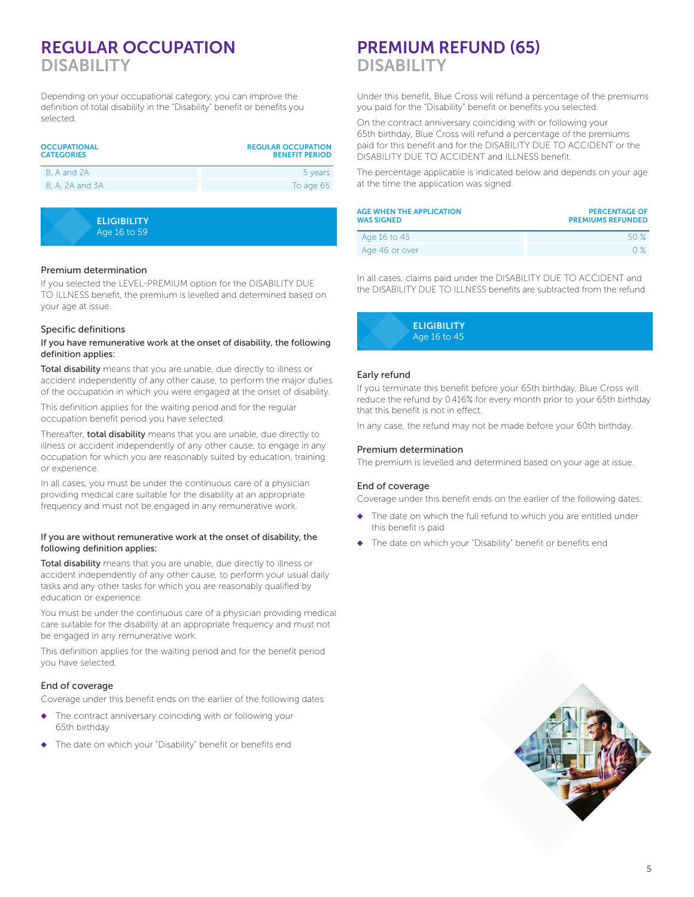## REGULAR OCCUPATION DISABILITY

Depending on your occupational category, you can improve the definition of total disability in the "Disability" benefit or benefits you selected.

| <b>OCCUPATIONAL</b><br><b>CATEGORIES</b> | <b>REGULAR OCCUPATION</b><br><b>BENEFIT PERIOD</b> |
|------------------------------------------|----------------------------------------------------|
| B. A and 2A                              | 5 years                                            |
| B, A, 2A and 3A                          | To age 65                                          |
|                                          |                                                    |
| <b>ELIGIBILITY</b>                       |                                                    |

Age 16 to 59

#### Premium determination

If you selected the LEVEL-PREMIUM option for the DISABILITY DUE TO ILLNESS benefit, the premium is levelled and determined based on your age at issue.

#### Specific definitions

#### If you have remunerative work at the onset of disability, the following definition applies:

Total disability means that you are unable, due directly to illness or accident independently of any other cause, to perform the major duties of the occupation in which you were engaged at the onset of disability.

This definition applies for the waiting period and for the regular occupation benefit period you have selected.

Thereafter, total disability means that you are unable, due directly to illness or accident independently of any other cause, to engage in any occupation for which you are reasonably suited by education, training or experience.

In all cases, you must be under the continuous care of a physician providing medical care suitable for the disability at an appropriate frequency and must not be engaged in any remunerative work.

#### If you are without remunerative work at the onset of disability, the following definition applies:

Total disability means that you are unable, due directly to illness or accident independently of any other cause, to perform your usual daily tasks and any other tasks for which you are reasonably qualified by education or experience.

You must be under the continuous care of a physician providing medical care suitable for the disability at an appropriate frequency and must not be engaged in any remunerative work.

This definition applies for the waiting period and for the benefit period you have selected.

#### End of coverage

Coverage under this benefit ends on the earlier of the following dates:

- The contract anniversary coinciding with or following your 65th birthday
- The date on which your "Disability" benefit or benefits end

## PREMIUM REFUND (65) DISABILITY

Under this benefit, Blue Cross will refund a percentage of the premiums you paid for the "Disability" benefit or benefits you selected.

On the contract anniversary coinciding with or following your 65th birthday, Blue Cross will refund a percentage of the premiums paid for this benefit and for the DISABILITY DUE TO ACCIDENT or the DISABILITY DUE TO ACCIDENT and ILLNESS benefit.

The percentage applicable is indicated below and depends on your age at the time the application was signed.

| <b>AGE WHEN THE APPLICATION</b><br><b>WAS SIGNED</b> | <b>PERCENTAGE OF</b><br><b>PREMIUMS REFUNDED</b> |
|------------------------------------------------------|--------------------------------------------------|
| Age 16 to 45                                         | 50 X                                             |
| Age 46 or over                                       | $\bigcap$ %                                      |

In all cases, claims paid under the DISABILITY DUE TO ACCIDENT and the DISABILITY DUE TO ILLNESS benefits are subtracted from the refund.



#### Early refund

If you terminate this benefit before your 65th birthday, Blue Cross will reduce the refund by 0.416% for every month prior to your 65th birthday that this benefit is not in effect.

In any case, the refund may not be made before your 60th birthday.

#### Premium determination

The premium is levelled and determined based on your age at issue.

#### End of coverage

Coverage under this benefit ends on the earlier of the following dates:

- The date on which the full refund to which you are entitled under this benefit is paid
- ◆ The date on which your "Disability" benefit or benefits end

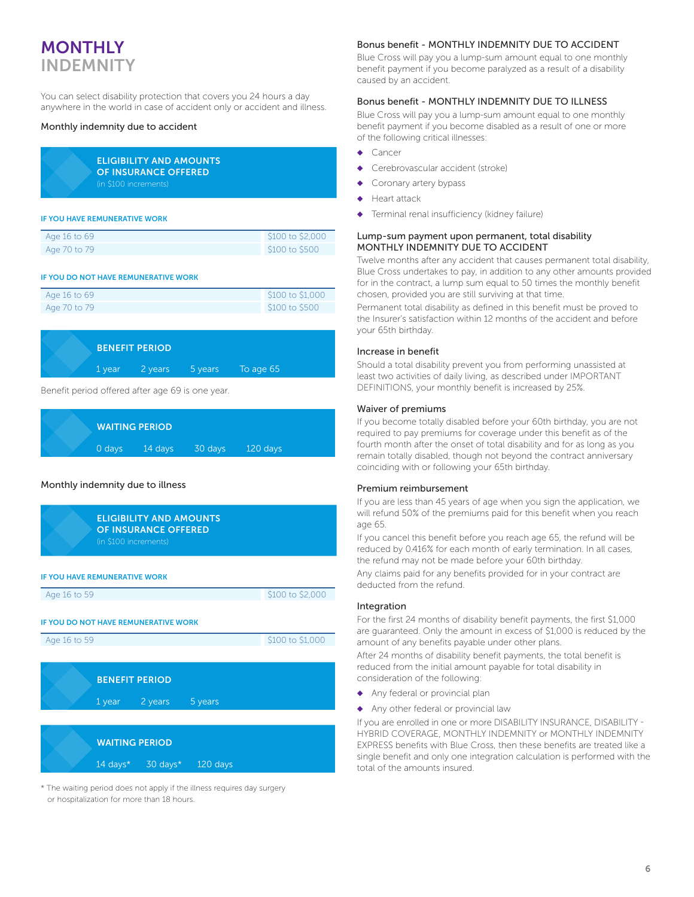## MONTHLY INDEMNITY

You can select disability protection that covers you 24 hours a day anywhere in the world in case of accident only or accident and illness.

#### Monthly indemnity due to accident

| <b>ELIGIBILITY AND AMOUNTS</b> |
|--------------------------------|
| OF INSURANCE OFFERED           |
| (in \$100 increments)          |

#### IF YOU HAVE REMUNERATIVE WORK

| Age 16 to 69 | \$100 to \$2,000 |
|--------------|------------------|
| Age 70 to 79 | \$100 to \$500   |

#### IF YOU DO NOT HAVE REMUNERATIVE WORK

| Age 16 to 69 | \$100 to \$1,000 |
|--------------|------------------|
| Age 70 to 79 | \$100 to \$500   |

|  | <b>BENEFIT PERIOD</b> |                                  |  |
|--|-----------------------|----------------------------------|--|
|  |                       | 1 year 2 years 5 years To age 65 |  |

Benefit period offered after age 69 is one year.

| <b>WAITING PERIOD</b> |         |         |            |  |
|-----------------------|---------|---------|------------|--|
| $0$ days              | 14 days | 30 days | $120$ days |  |

#### Monthly indemnity due to illness



\* The waiting period does not apply if the illness requires day surgery or hospitalization for more than 18 hours.

#### Bonus benefit - MONTHLY INDEMNITY DUE TO ACCIDENT

Blue Cross will pay you a lump-sum amount equal to one monthly benefit payment if you become paralyzed as a result of a disability caused by an accident.

#### Bonus benefit - MONTHLY INDEMNITY DUE TO ILLNESS

Blue Cross will pay you a lump-sum amount equal to one monthly benefit payment if you become disabled as a result of one or more of the following critical illnesses:

- Cancer
- Cerebrovascular accident (stroke)
- Coronary artery bypass
- ◆ Heart attack
- Terminal renal insufficiency (kidney failure)

#### Lump-sum payment upon permanent, total disability MONTHLY INDEMNITY DUE TO ACCIDENT

Twelve months after any accident that causes permanent total disability, Blue Cross undertakes to pay, in addition to any other amounts provided for in the contract, a lump sum equal to 50 times the monthly benefit chosen, provided you are still surviving at that time.

Permanent total disability as defined in this benefit must be proved to the Insurer's satisfaction within 12 months of the accident and before your 65th birthday.

#### Increase in benefit

Should a total disability prevent you from performing unassisted at least two activities of daily living, as described under IMPORTANT DEFINITIONS, your monthly benefit is increased by 25%.

#### Waiver of premiums

If you become totally disabled before your 60th birthday, you are not required to pay premiums for coverage under this benefit as of the fourth month after the onset of total disability and for as long as you remain totally disabled, though not beyond the contract anniversary coinciding with or following your 65th birthday.

#### Premium reimbursement

If you are less than 45 years of age when you sign the application, we will refund 50% of the premiums paid for this benefit when you reach age 65.

If you cancel this benefit before you reach age 65, the refund will be reduced by 0.416% for each month of early termination. In all cases, the refund may not be made before your 60th birthday.

Any claims paid for any benefits provided for in your contract are deducted from the refund.

#### **Integration**

For the first 24 months of disability benefit payments, the first \$1,000 are guaranteed. Only the amount in excess of \$1,000 is reduced by the amount of any benefits payable under other plans.

After 24 months of disability benefit payments, the total benefit is reduced from the initial amount payable for total disability in consideration of the following:

- Any federal or provincial plan
- ◆ Any other federal or provincial law

If you are enrolled in one or more DISABILITY INSURANCE, DISABILITY - HYBRID COVERAGE, MONTHLY INDEMNITY or MONTHLY INDEMNITY EXPRESS benefits with Blue Cross, then these benefits are treated like a single benefit and only one integration calculation is performed with the total of the amounts insured.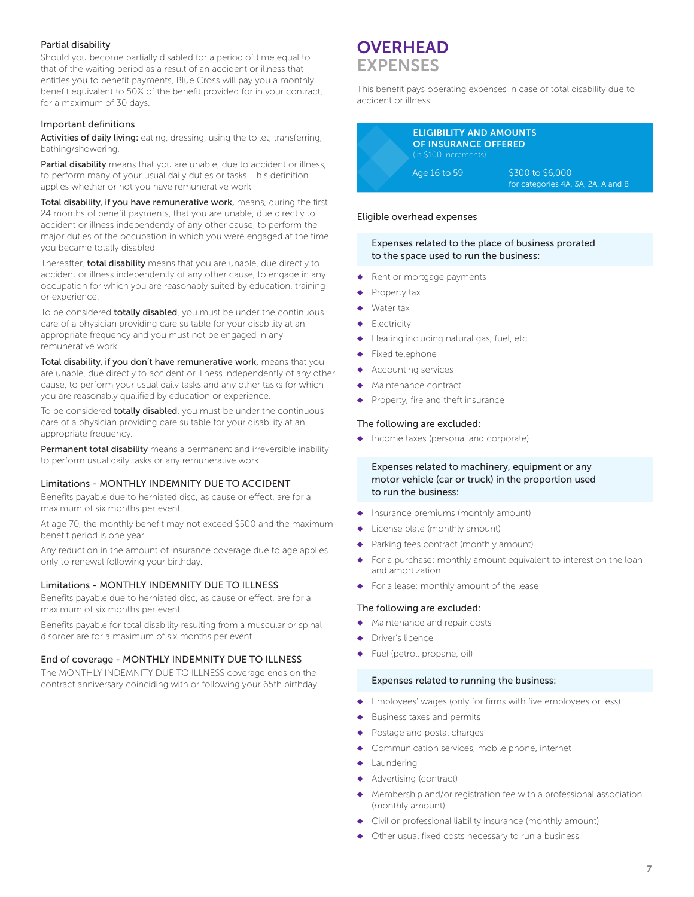#### Partial disability

Should you become partially disabled for a period of time equal to that of the waiting period as a result of an accident or illness that entitles you to benefit payments, Blue Cross will pay you a monthly benefit equivalent to 50% of the benefit provided for in your contract, for a maximum of 30 days.

#### Important definitions

Activities of daily living: eating, dressing, using the toilet, transferring, bathing/showering.

Partial disability means that you are unable, due to accident or illness, to perform many of your usual daily duties or tasks. This definition applies whether or not you have remunerative work.

Total disability, if you have remunerative work, means, during the first 24 months of benefit payments, that you are unable, due directly to accident or illness independently of any other cause, to perform the major duties of the occupation in which you were engaged at the time you became totally disabled.

Thereafter, total disability means that you are unable, due directly to accident or illness independently of any other cause, to engage in any occupation for which you are reasonably suited by education, training or experience.

To be considered totally disabled, you must be under the continuous care of a physician providing care suitable for your disability at an appropriate frequency and you must not be engaged in any remunerative work.

Total disability, if you don't have remunerative work, means that you are unable, due directly to accident or illness independently of any other cause, to perform your usual daily tasks and any other tasks for which you are reasonably qualified by education or experience.

To be considered totally disabled, you must be under the continuous care of a physician providing care suitable for your disability at an appropriate frequency.

Permanent total disability means a permanent and irreversible inability to perform usual daily tasks or any remunerative work.

#### Limitations - MONTHLY INDEMNITY DUE TO ACCIDENT

Benefits payable due to herniated disc, as cause or effect, are for a maximum of six months per event.

At age 70, the monthly benefit may not exceed \$500 and the maximum benefit period is one year.

Any reduction in the amount of insurance coverage due to age applies only to renewal following your birthday.

#### Limitations - MONTHLY INDEMNITY DUE TO ILLNESS

Benefits payable due to herniated disc, as cause or effect, are for a maximum of six months per event.

Benefits payable for total disability resulting from a muscular or spinal disorder are for a maximum of six months per event.

#### End of coverage - MONTHLY INDEMNITY DUE TO ILLNESS

The MONTHLY INDEMNITY DUE TO ILLNESS coverage ends on the contract anniversary coinciding with or following your 65th birthday.

## **OVERHEAD** EXPENSES

This benefit pays operating expenses in case of total disability due to accident or illness.



#### Eligible overhead expenses

#### Expenses related to the place of business prorated to the space used to run the business:

- ◆ Rent or mortgage payments
- Property tax
- Water tax
- Electricity
- Heating including natural gas, fuel, etc.
- Fixed telephone
- Accounting services
- Maintenance contract
- Property, fire and theft insurance

#### The following are excluded:

◆ Income taxes (personal and corporate)

#### Expenses related to machinery, equipment or any motor vehicle (car or truck) in the proportion used to run the business:

- ◆ Insurance premiums (monthly amount)
- License plate (monthly amount)
- Parking fees contract (monthly amount)
- For a purchase: monthly amount equivalent to interest on the loan and amortization
- For a lease: monthly amount of the lease

#### The following are excluded:

- Maintenance and repair costs
- Driver's licence
- Fuel (petrol, propane, oil)

#### Expenses related to running the business:

- ◆ Employees' wages (only for firms with five employees or less)
- Business taxes and permits
- Postage and postal charges
- Communication services, mobile phone, internet
- Laundering
- Advertising (contract)
- Membership and/or registration fee with a professional association (monthly amount)
- Civil or professional liability insurance (monthly amount)
- Other usual fixed costs necessary to run a business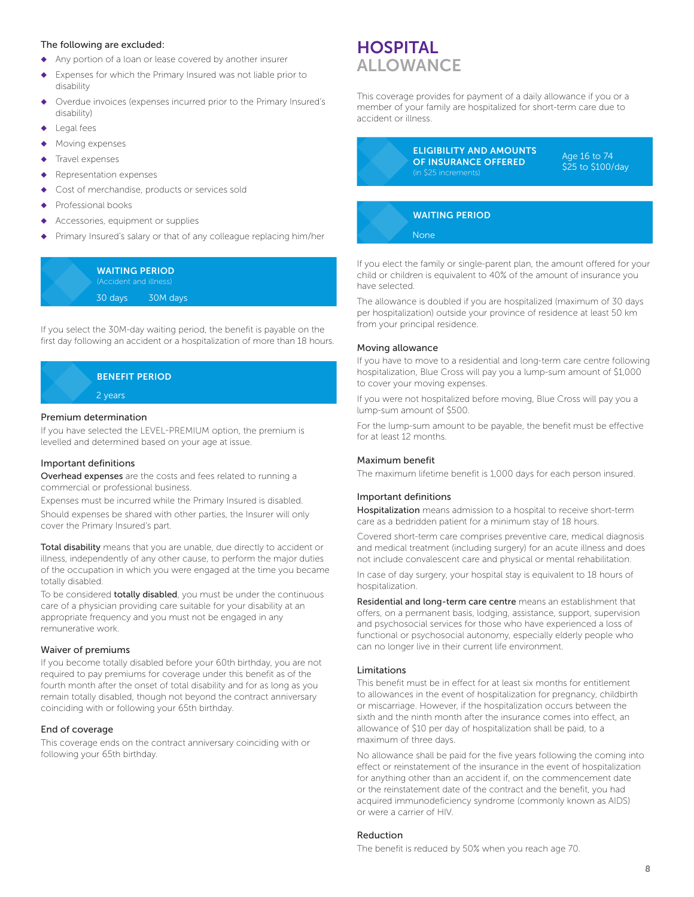#### The following are excluded:

- ◆ Any portion of a loan or lease covered by another insurer
- Expenses for which the Primary Insured was not liable prior to disability
- Overdue invoices (expenses incurred prior to the Primary Insured's disability)
- Legal fees
- Moving expenses
- Travel expenses
- Representation expenses
- Cost of merchandise, products or services sold
- Professional books
- Accessories, equipment or supplies
- Primary Insured's salary or that of any colleague replacing him/her

#### WAITING PERIOD (Accident and illness)

30 days 30M days

If you select the 30M-day waiting period, the benefit is payable on the first day following an accident or a hospitalization of more than 18 hours.



#### Premium determination

If you have selected the LEVEL-PREMIUM option, the premium is levelled and determined based on your age at issue.

#### Important definitions

Overhead expenses are the costs and fees related to running a commercial or professional business.

Expenses must be incurred while the Primary Insured is disabled. Should expenses be shared with other parties, the Insurer will only cover the Primary Insured's part.

Total disability means that you are unable, due directly to accident or illness, independently of any other cause, to perform the major duties of the occupation in which you were engaged at the time you became totally disabled.

To be considered **totally disabled**, you must be under the continuous care of a physician providing care suitable for your disability at an appropriate frequency and you must not be engaged in any remunerative work.

#### Waiver of premiums

If you become totally disabled before your 60th birthday, you are not required to pay premiums for coverage under this benefit as of the fourth month after the onset of total disability and for as long as you remain totally disabled, though not beyond the contract anniversary coinciding with or following your 65th birthday.

#### End of coverage

This coverage ends on the contract anniversary coinciding with or following your 65th birthday.

## **HOSPITAL ALLOWANCE**

This coverage provides for payment of a daily allowance if you or a member of your family are hospitalized for short-term care due to accident or illness.

> ELIGIBILITY AND AMOUNTS OF INSURANCE OFFERED (in \$25 increments)

Age 16 to 74 \$25 to \$100/day

#### WAITING PERIOD

None

If you elect the family or single-parent plan, the amount offered for your child or children is equivalent to 40% of the amount of insurance you have selected.

The allowance is doubled if you are hospitalized (maximum of 30 days per hospitalization) outside your province of residence at least 50 km from your principal residence.

#### Moving allowance

If you have to move to a residential and long-term care centre following hospitalization, Blue Cross will pay you a lump-sum amount of \$1,000 to cover your moving expenses.

If you were not hospitalized before moving, Blue Cross will pay you a lump-sum amount of \$500.

For the lump-sum amount to be payable, the benefit must be effective for at least 12 months.

#### Maximum benefit

The maximum lifetime benefit is 1,000 days for each person insured.

#### Important definitions

Hospitalization means admission to a hospital to receive short-term care as a bedridden patient for a minimum stay of 18 hours.

Covered short-term care comprises preventive care, medical diagnosis and medical treatment (including surgery) for an acute illness and does not include convalescent care and physical or mental rehabilitation.

In case of day surgery, your hospital stay is equivalent to 18 hours of hospitalization.

Residential and long-term care centre means an establishment that offers, on a permanent basis, lodging, assistance, support, supervision and psychosocial services for those who have experienced a loss of functional or psychosocial autonomy, especially elderly people who can no longer live in their current life environment.

#### Limitations

This benefit must be in effect for at least six months for entitlement to allowances in the event of hospitalization for pregnancy, childbirth or miscarriage. However, if the hospitalization occurs between the sixth and the ninth month after the insurance comes into effect, an allowance of \$10 per day of hospitalization shall be paid, to a maximum of three days.

No allowance shall be paid for the five years following the coming into effect or reinstatement of the insurance in the event of hospitalization for anything other than an accident if, on the commencement date or the reinstatement date of the contract and the benefit, you had acquired immunodeficiency syndrome (commonly known as AIDS) or were a carrier of HIV.

#### Reduction

The benefit is reduced by 50% when you reach age 70.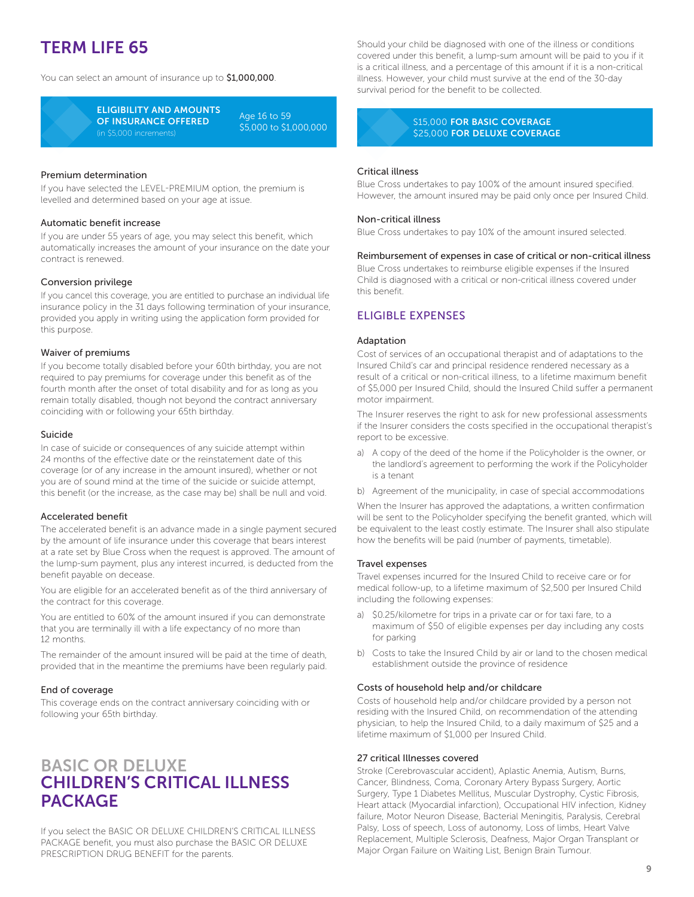## TERM LIFE 65

You can select an amount of insurance up to \$1,000,000.



ELIGIBILITY AND AMOUNTS OF INSURANCE OFFERED (in \$5,000 increments)

Age 16 to 59 \$5,000 to \$1,000,000

#### Premium determination

If you have selected the LEVEL-PREMIUM option, the premium is levelled and determined based on your age at issue.

#### Automatic benefit increase

If you are under 55 years of age, you may select this benefit, which automatically increases the amount of your insurance on the date your contract is renewed.

#### Conversion privilege

If you cancel this coverage, you are entitled to purchase an individual life insurance policy in the 31 days following termination of your insurance, provided you apply in writing using the application form provided for this purpose.

#### Waiver of premiums

If you become totally disabled before your 60th birthday, you are not required to pay premiums for coverage under this benefit as of the fourth month after the onset of total disability and for as long as you remain totally disabled, though not beyond the contract anniversary coinciding with or following your 65th birthday.

#### Suicide

In case of suicide or consequences of any suicide attempt within 24 months of the effective date or the reinstatement date of this coverage (or of any increase in the amount insured), whether or not you are of sound mind at the time of the suicide or suicide attempt, this benefit (or the increase, as the case may be) shall be null and void.

#### Accelerated benefit

The accelerated benefit is an advance made in a single payment secured by the amount of life insurance under this coverage that bears interest at a rate set by Blue Cross when the request is approved. The amount of the lump-sum payment, plus any interest incurred, is deducted from the benefit payable on decease.

You are eligible for an accelerated benefit as of the third anniversary of the contract for this coverage.

You are entitled to 60% of the amount insured if you can demonstrate that you are terminally ill with a life expectancy of no more than 12 months.

The remainder of the amount insured will be paid at the time of death, provided that in the meantime the premiums have been regularly paid.

#### End of coverage

This coverage ends on the contract anniversary coinciding with or following your 65th birthday.

## BASIC OR DELUXE CHILDREN'S CRITICAL ILLNESS PACKAGE

If you select the BASIC OR DELUXE CHILDREN'S CRITICAL ILLNESS PACKAGE benefit, you must also purchase the BASIC OR DELUXE PRESCRIPTION DRUG BENEFIT for the parents.

Should your child be diagnosed with one of the illness or conditions covered under this benefit, a lump-sum amount will be paid to you if it is a critical illness, and a percentage of this amount if it is a non-critical illness. However, your child must survive at the end of the 30-day survival period for the benefit to be collected.

#### S15,000 FOR BASIC COVERAGE \$25,000 FOR DELUXE COVERAGE

#### Critical illness

Blue Cross undertakes to pay 100% of the amount insured specified. However, the amount insured may be paid only once per Insured Child.

#### Non-critical illness

Blue Cross undertakes to pay 10% of the amount insured selected.

#### Reimbursement of expenses in case of critical or non-critical illness

Blue Cross undertakes to reimburse eligible expenses if the Insured Child is diagnosed with a critical or non-critical illness covered under this benefit.

#### ELIGIBLE EXPENSES

#### Adaptation

Cost of services of an occupational therapist and of adaptations to the Insured Child's car and principal residence rendered necessary as a result of a critical or non-critical illness, to a lifetime maximum benefit of \$5,000 per Insured Child, should the Insured Child suffer a permanent motor impairment.

The Insurer reserves the right to ask for new professional assessments if the Insurer considers the costs specified in the occupational therapist's report to be excessive.

- a) A copy of the deed of the home if the Policyholder is the owner, or the landlord's agreement to performing the work if the Policyholder is a tenant
- b) Agreement of the municipality, in case of special accommodations

When the Insurer has approved the adaptations, a written confirmation will be sent to the Policyholder specifying the benefit granted, which will be equivalent to the least costly estimate. The Insurer shall also stipulate how the benefits will be paid (number of payments, timetable).

#### Travel expenses

Travel expenses incurred for the Insured Child to receive care or for medical follow-up, to a lifetime maximum of \$2,500 per Insured Child including the following expenses:

- a) \$0.25/kilometre for trips in a private car or for taxi fare, to a maximum of \$50 of eligible expenses per day including any costs for parking
- b) Costs to take the Insured Child by air or land to the chosen medical establishment outside the province of residence

#### Costs of household help and/or childcare

Costs of household help and/or childcare provided by a person not residing with the Insured Child, on recommendation of the attending physician, to help the Insured Child, to a daily maximum of \$25 and a lifetime maximum of \$1,000 per Insured Child.

#### 27 critical Illnesses covered

Stroke (Cerebrovascular accident), Aplastic Anemia, Autism, Burns, Cancer, Blindness, Coma, Coronary Artery Bypass Surgery, Aortic Surgery, Type 1 Diabetes Mellitus, Muscular Dystrophy, Cystic Fibrosis, Heart attack (Myocardial infarction), Occupational HIV infection, Kidney failure, Motor Neuron Disease, Bacterial Meningitis, Paralysis, Cerebral Palsy, Loss of speech, Loss of autonomy, Loss of limbs, Heart Valve Replacement, Multiple Sclerosis, Deafness, Major Organ Transplant or Major Organ Failure on Waiting List, Benign Brain Tumour.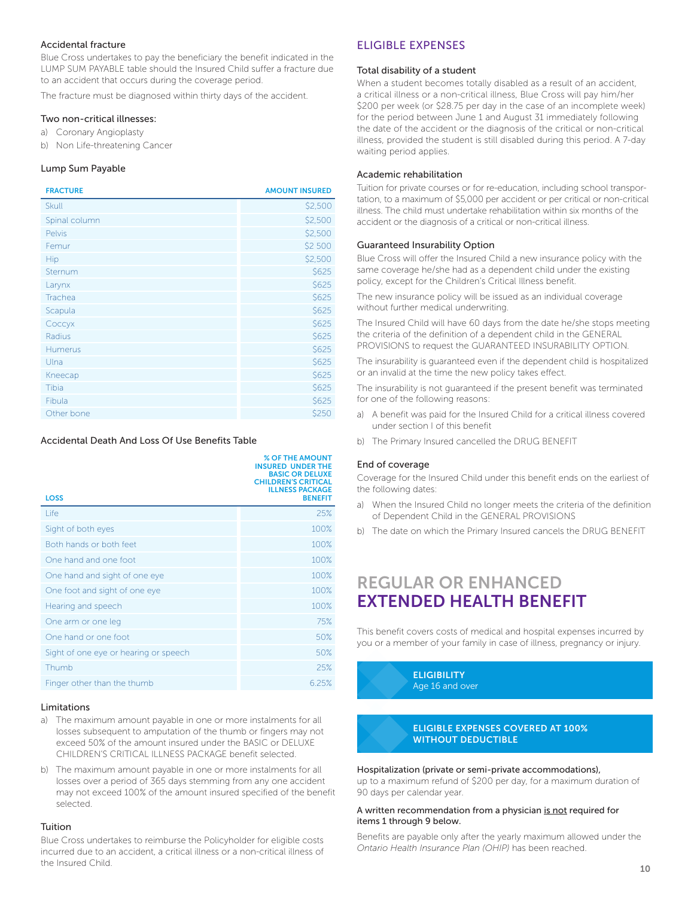#### Accidental fracture

Blue Cross undertakes to pay the beneficiary the benefit indicated in the LUMP SUM PAYABLE table should the Insured Child suffer a fracture due to an accident that occurs during the coverage period.

The fracture must be diagnosed within thirty days of the accident.

#### Two non-critical illnesses:

- a) Coronary Angioplasty
- b) Non Life-threatening Cancer

#### Lump Sum Payable

| <b>FRACTURE</b> | <b>AMOUNT INSURED</b> |
|-----------------|-----------------------|
| <b>Skull</b>    | \$2,500               |
| Spinal column   | \$2,500               |
| <b>Pelvis</b>   | \$2,500               |
| Femur           | \$2 500               |
| Hip             | \$2,500               |
| Sternum         | \$625                 |
| Larynx          | \$625                 |
| Trachea         | \$625                 |
| Scapula         | \$625                 |
| Соссух          | \$625                 |
| Radius          | \$625                 |
| <b>Humerus</b>  | \$625                 |
| Ulna            | \$625                 |
| Kneecap         | \$625                 |
| Tibia           | \$625                 |
| Fibula          | \$625                 |
| Other bone      | \$250                 |

#### Accidental Death And Loss Of Use Benefits Table

| <b>LOSS</b>                           | <b>% OF THE AMOUNT</b><br><b>INSURED UNDER THE</b><br><b>BASIC OR DELUXE</b><br><b>CHILDREN'S CRITICAL</b><br><b>ILLNESS PACKAGE</b><br><b>BENEFIT</b> |
|---------------------------------------|--------------------------------------------------------------------------------------------------------------------------------------------------------|
| Life                                  | 25%                                                                                                                                                    |
| Sight of both eyes                    | 100%                                                                                                                                                   |
| Both hands or both feet               | 100%                                                                                                                                                   |
| One hand and one foot                 | 100%                                                                                                                                                   |
| One hand and sight of one eye         | 100%                                                                                                                                                   |
| One foot and sight of one eye         | 100%                                                                                                                                                   |
| Hearing and speech                    | 100%                                                                                                                                                   |
| One arm or one leg                    | 75%                                                                                                                                                    |
| One hand or one foot                  | 50%                                                                                                                                                    |
| Sight of one eye or hearing or speech | 50%                                                                                                                                                    |
| Thumb                                 | 25%                                                                                                                                                    |
| Finger other than the thumb           | 6.25%                                                                                                                                                  |

#### **Limitations**

- a) The maximum amount payable in one or more instalments for all losses subsequent to amputation of the thumb or fingers may not exceed 50% of the amount insured under the BASIC or DELUXE CHILDREN'S CRITICAL ILLNESS PACKAGE benefit selected.
- b) The maximum amount payable in one or more instalments for all losses over a period of 365 days stemming from any one accident may not exceed 100% of the amount insured specified of the benefit selected.

#### Tuition

Blue Cross undertakes to reimburse the Policyholder for eligible costs incurred due to an accident, a critical illness or a non-critical illness of the Insured Child.

#### ELIGIBLE EXPENSES

#### Total disability of a student

When a student becomes totally disabled as a result of an accident, a critical illness or a non-critical illness, Blue Cross will pay him/her \$200 per week (or \$28.75 per day in the case of an incomplete week) for the period between June 1 and August 31 immediately following the date of the accident or the diagnosis of the critical or non-critical illness, provided the student is still disabled during this period. A 7-day waiting period applies.

#### Academic rehabilitation

Tuition for private courses or for re-education, including school transportation, to a maximum of \$5,000 per accident or per critical or non-critical illness. The child must undertake rehabilitation within six months of the accident or the diagnosis of a critical or non-critical illness.

#### Guaranteed Insurability Option

Blue Cross will offer the Insured Child a new insurance policy with the same coverage he/she had as a dependent child under the existing policy, except for the Children's Critical Illness benefit.

The new insurance policy will be issued as an individual coverage without further medical underwriting.

The Insured Child will have 60 days from the date he/she stops meeting the criteria of the definition of a dependent child in the GENERAL PROVISIONS to request the GUARANTEED INSURABILITY OPTION.

The insurability is guaranteed even if the dependent child is hospitalized or an invalid at the time the new policy takes effect.

The insurability is not guaranteed if the present benefit was terminated for one of the following reasons:

- a) A benefit was paid for the Insured Child for a critical illness covered under section I of this benefit
- b) The Primary Insured cancelled the DRUG BENEFIT

#### End of coverage

Coverage for the Insured Child under this benefit ends on the earliest of the following dates:

- a) When the Insured Child no longer meets the criteria of the definition of Dependent Child in the GENERAL PROVISIONS
- b) The date on which the Primary Insured cancels the DRUG BENEFIT

## REGULAR OR ENHANCED EXTENDED HEALTH BENEFIT

This benefit covers costs of medical and hospital expenses incurred by you or a member of your family in case of illness, pregnancy or injury.

> **ELIGIBILITY** Age 16 and over

#### ELIGIBLE EXPENSES COVERED AT 100% WITHOUT DEDUCTIBLE

#### Hospitalization (private or semi-private accommodations),

up to a maximum refund of \$200 per day, for a maximum duration of 90 days per calendar year.

#### A written recommendation from a physician is not required for items 1 through 9 below.

Benefits are payable only after the yearly maximum allowed under the *Ontario Health Insurance Plan (OHIP)* has been reached.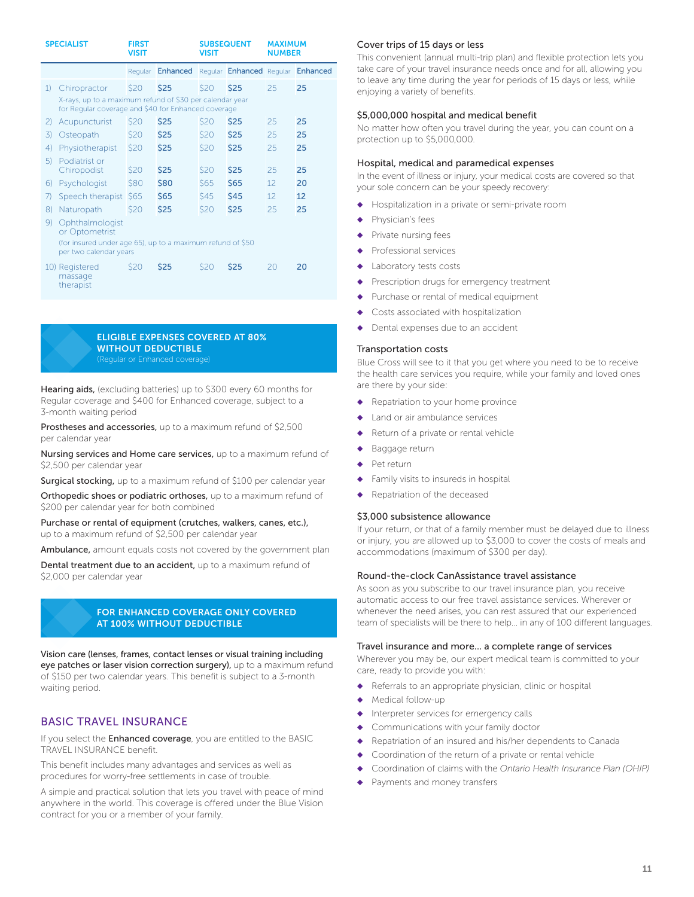| <b>SPECIALIST</b>                                                                                                               |                                        | <b>FIRST</b><br><b>VISIT</b> |                                            | <b>SUBSEQUENT</b><br><b>VISIT</b> |             | <b>MAXIMUM</b><br><b>NUMBER</b> |    |
|---------------------------------------------------------------------------------------------------------------------------------|----------------------------------------|------------------------------|--------------------------------------------|-----------------------------------|-------------|---------------------------------|----|
|                                                                                                                                 |                                        | Regular                      | Enhanced Regular Enhanced Regular Enhanced |                                   |             |                                 |    |
| 1)                                                                                                                              | Chiropractor                           | \$20                         | \$25                                       | \$20                              | <b>\$25</b> | 25                              | 25 |
| X-rays, up to a maximum refund of \$30 per calendar year<br>for Regular coverage and \$40 for Enhanced coverage                 |                                        |                              |                                            |                                   |             |                                 |    |
| 2)                                                                                                                              | Acupuncturist                          | \$20                         | <b>\$25</b>                                | \$20                              | \$25        | 25                              | 25 |
| 3)                                                                                                                              | Osteopath                              | \$20                         | \$25                                       | \$20                              | \$25        | 25                              | 25 |
| $\left( \frac{1}{2} \right)$                                                                                                    | Physiotherapist                        | \$20                         | <b>\$25</b>                                | \$20                              | \$25        | 25                              | 25 |
| 5)                                                                                                                              | Podiatrist or<br>Chiropodist           | \$20                         | \$25                                       | \$20                              | \$25        | 25                              | 25 |
| 6)                                                                                                                              | Psychologist                           | \$80                         | \$80                                       | \$65                              | <b>\$65</b> | 12                              | 20 |
| 7)                                                                                                                              | Speech therapist                       | <b>S65</b>                   | \$65                                       | <b>\$45</b>                       | <b>\$45</b> | 12                              | 12 |
| $\{8\}$                                                                                                                         | Naturopath                             | \$20                         | <b>\$25</b>                                | \$20                              | \$25        | 25                              | 25 |
| Ophthalmologist<br>9)<br>or Optometrist<br>(for insured under age 65), up to a maximum refund of \$50<br>per two calendar years |                                        |                              |                                            |                                   |             |                                 |    |
|                                                                                                                                 | 10) Registered<br>massage<br>therapist | \$20                         | <b>\$25</b>                                | \$20                              | \$25        | 20                              | 20 |

### ELIGIBLE EXPENSES COVERED AT 80% WITHOUT DEDUCTIBLE

Hearing aids, (excluding batteries) up to \$300 every 60 months for Regular coverage and \$400 for Enhanced coverage, subject to a 3-month waiting period

Prostheses and accessories, up to a maximum refund of \$2,500 per calendar year

Nursing services and Home care services, up to a maximum refund of \$2,500 per calendar year

Surgical stocking, up to a maximum refund of \$100 per calendar year

Orthopedic shoes or podiatric orthoses, up to a maximum refund of \$200 per calendar year for both combined

Purchase or rental of equipment (crutches, walkers, canes, etc.), up to a maximum refund of \$2,500 per calendar year

Ambulance, amount equals costs not covered by the government plan

Dental treatment due to an accident, up to a maximum refund of \$2,000 per calendar year

#### FOR ENHANCED COVERAGE ONLY COVERED AT 100% WITHOUT DEDUCTIBLE

Vision care (lenses, frames, contact lenses or visual training including eye patches or laser vision correction surgery), up to a maximum refund of \$150 per two calendar years. This benefit is subject to a 3-month waiting period.

#### BASIC TRAVEL INSURANCE

If you select the **Enhanced coverage**, you are entitled to the BASIC TRAVEL INSURANCE benefit.

This benefit includes many advantages and services as well as procedures for worry-free settlements in case of trouble.

A simple and practical solution that lets you travel with peace of mind anywhere in the world. This coverage is offered under the Blue Vision contract for you or a member of your family.

#### Cover trips of 15 days or less

This convenient (annual multi-trip plan) and flexible protection lets you take care of your travel insurance needs once and for all, allowing you to leave any time during the year for periods of 15 days or less, while enjoying a variety of benefits.

#### \$5,000,000 hospital and medical benefit

No matter how often you travel during the year, you can count on a protection up to \$5,000,000.

#### Hospital, medical and paramedical expenses

In the event of illness or injury, your medical costs are covered so that your sole concern can be your speedy recovery:

- ◆ Hospitalization in a private or semi-private room
- Physician's fees
- Private nursing fees
- Professional services
- Laboratory tests costs
- Prescription drugs for emergency treatment
- Purchase or rental of medical equipment
- Costs associated with hospitalization
- ◆ Dental expenses due to an accident

#### Transportation costs

Blue Cross will see to it that you get where you need to be to receive the health care services you require, while your family and loved ones are there by your side:

- ◆ Repatriation to your home province
- Land or air ambulance services
- Return of a private or rental vehicle
- Baggage return
- Pet return
- Family visits to insureds in hospital
- ◆ Repatriation of the deceased

#### \$3,000 subsistence allowance

If your return, or that of a family member must be delayed due to illness or injury, you are allowed up to \$3,000 to cover the costs of meals and accommodations (maximum of \$300 per day).

#### Round-the-clock CanAssistance travel assistance

As soon as you subscribe to our travel insurance plan, you receive automatic access to our free travel assistance services. Wherever or whenever the need arises, you can rest assured that our experienced team of specialists will be there to help... in any of 100 different languages.

#### Travel insurance and more... a complete range of services

Wherever you may be, our expert medical team is committed to your care, ready to provide you with:

- ◆ Referrals to an appropriate physician, clinic or hospital
- Medical follow-up
- Interpreter services for emergency calls
- Communications with your family doctor
- Repatriation of an insured and his/her dependents to Canada
- Coordination of the return of a private or rental vehicle
- Coordination of claims with the *Ontario Health Insurance Plan (OHIP)*
- Payments and money transfers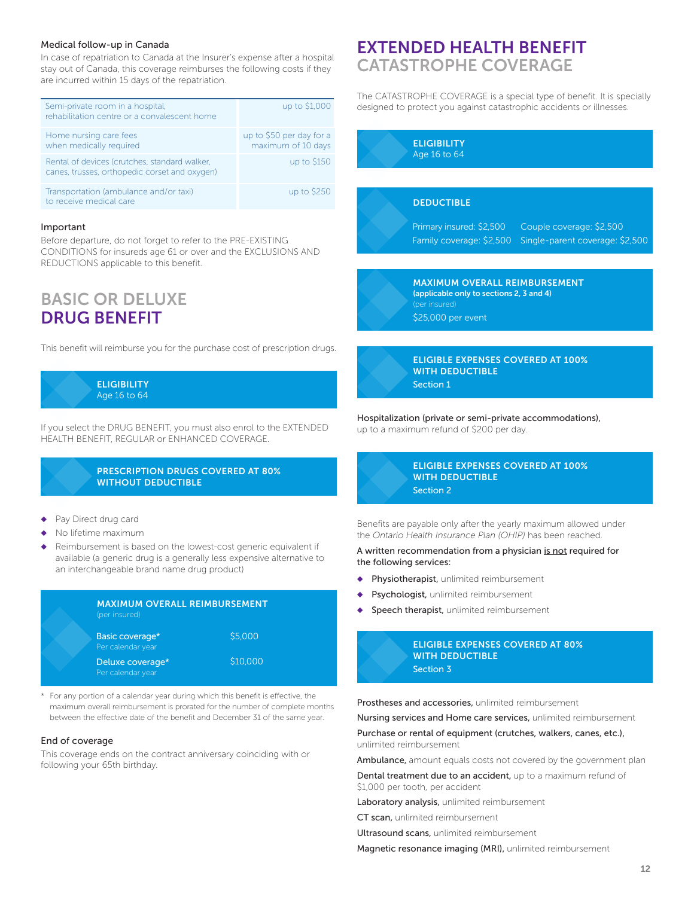#### Medical follow-up in Canada

In case of repatriation to Canada at the Insurer's expense after a hospital stay out of Canada, this coverage reimburses the following costs if they are incurred within 15 days of the repatriation.

| Semi-private room in a hospital,<br>rehabilitation centre or a convalescent home               | up to \$1,000                                  |
|------------------------------------------------------------------------------------------------|------------------------------------------------|
| Home nursing care fees<br>when medically required                                              | up to \$50 per day for a<br>maximum of 10 days |
| Rental of devices (crutches, standard walker,<br>canes, trusses, orthopedic corset and oxygen) | up to \$150                                    |
| Transportation (ambulance and/or taxi)<br>to receive medical care                              | up to \$250                                    |

#### Important

Before departure, do not forget to refer to the PRE-EXISTING CONDITIONS for insureds age 61 or over and the EXCLUSIONS AND REDUCTIONS applicable to this benefit.

## BASIC OR DELUXE DRUG BENEFIT

This benefit will reimburse you for the purchase cost of prescription drugs.

ELIGIBILITY Age 16 to 64

If you select the DRUG BENEFIT, you must also enrol to the EXTENDED HEALTH BENEFIT, REGULAR or ENHANCED COVERAGE.

#### PRESCRIPTION DRUGS COVERED AT 80% WITHOUT DEDUCTIBLE

- Pay Direct drug card
- No lifetime maximum
- Reimbursement is based on the lowest-cost generic equivalent if available (a generic drug is a generally less expensive alternative to an interchangeable brand name drug product)



\* For any portion of a calendar year during which this benefit is effective, the maximum overall reimbursement is prorated for the number of complete months between the effective date of the benefit and December 31 of the same year.

#### End of coverage

This coverage ends on the contract anniversary coinciding with or following your 65th birthday.

## EXTENDED HEALTH BENEFIT CATASTROPHE COVERAGE

The CATASTROPHE COVERAGE is a special type of benefit. It is specially designed to protect you against catastrophic accidents or illnesses.



\$25,000 per event



ELIGIBLE EXPENSES COVERED AT 100% WITH DEDUCTIBLE Section 1

Hospitalization (private or semi-private accommodations), up to a maximum refund of \$200 per day.



Benefits are payable only after the yearly maximum allowed under the *Ontario Health Insurance Plan (OHIP)* has been reached.

#### A written recommendation from a physician is not required for the following services:

- Physiotherapist, unlimited reimbursement
- Psychologist, unlimited reimbursement
- Speech therapist, unlimited reimbursement

| <b>ELIGIBLE EXP</b> |
|---------------------|
| <b>WITH DEDUC</b>   |
| Section 3           |

**ENSES COVERED AT 80% TIBLE** 

Prostheses and accessories, unlimited reimbursement

Nursing services and Home care services, unlimited reimbursement

#### Purchase or rental of equipment (crutches, walkers, canes, etc.), unlimited reimbursement

Ambulance, amount equals costs not covered by the government plan

Dental treatment due to an accident, up to a maximum refund of \$1,000 per tooth, per accident

Laboratory analysis, unlimited reimbursement

CT scan, unlimited reimbursement

Ultrasound scans, unlimited reimbursement

Magnetic resonance imaging (MRI), unlimited reimbursement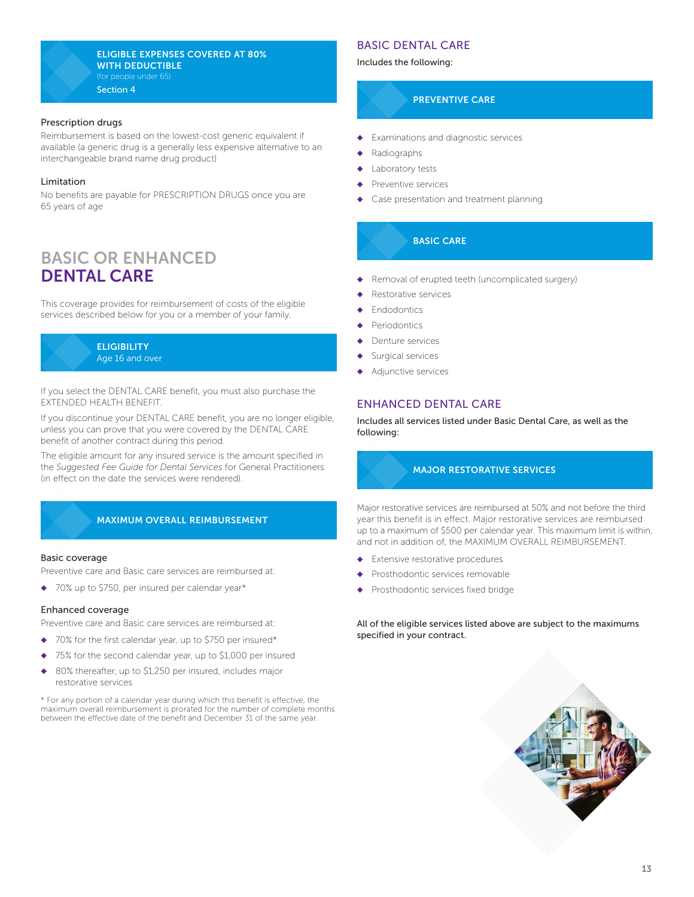#### ELIGIBLE EXPENSES COVERED AT 80% WITH DEDUCTIBLE (for people under 65) Section 4

#### Prescription drugs

Reimbursement is based on the lowest-cost generic equivalent if available (a generic drug is a generally less expensive alternative to an interchangeable brand name drug product)

#### Limitation

No benefits are payable for PRESCRIPTION DRUGS once you are 65 years of age

## BASIC OR ENHANCED DENTAL CARE

This coverage provides for reimbursement of costs of the eligible services described below for you or a member of your family.



If you select the DENTAL CARE benefit, you must also purchase the EXTENDED HEALTH BENEFIT.

If you discontinue your DENTAL CARE benefit, you are no longer eligible, unless you can prove that you were covered by the DENTAL CARE benefit of another contract during this period.

The eligible amount for any insured service is the amount specified in the *Suggested Fee Guide for Dental Services* for General Practitioners (in effect on the date the services were rendered).

#### MAXIMUM OVERALL REIMBURSEMENT

#### Basic coverage

Preventive care and Basic care services are reimbursed at:

◆ 70% up to \$750, per insured per calendar year\*

#### Enhanced coverage

Preventive care and Basic care services are reimbursed at:

- ◆ 70% for the first calendar year, up to \$750 per insured\*
- 75% for the second calendar year, up to \$1,000 per insured
- 80% thereafter, up to \$1,250 per insured, includes major restorative services

\* For any portion of a calendar year during which this benefit is effective, the maximum overall reimbursement is prorated for the number of complete months between the effective date of the benefit and December 31 of the same year.

#### BASIC DENTAL CARE

Includes the following:

#### PREVENTIVE CARE

- Examinations and diagnostic services
- Radiographs
- Laboratory tests
- Preventive services
- Case presentation and treatment planning

#### BASIC CARE

- ◆ Removal of erupted teeth (uncomplicated surgery)
- Restorative services
- **Endodontics**
- Periodontics
- Denture services
- Surgical services
- Adjunctive services

#### ENHANCED DENTAL CARE

Includes all services listed under Basic Dental Care, as well as the following:

#### MAJOR RESTORATIVE SERVICES

Major restorative services are reimbursed at 50% and not before the third year this benefit is in effect. Major restorative services are reimbursed up to a maximum of \$500 per calendar year. This maximum limit is within, and not in addition of, the MAXIMUM OVERALL REIMBURSEMENT.

- Extensive restorative procedures
- Prosthodontic services removable
- Prosthodontic services fixed bridge

All of the eligible services listed above are subject to the maximums specified in your contract.